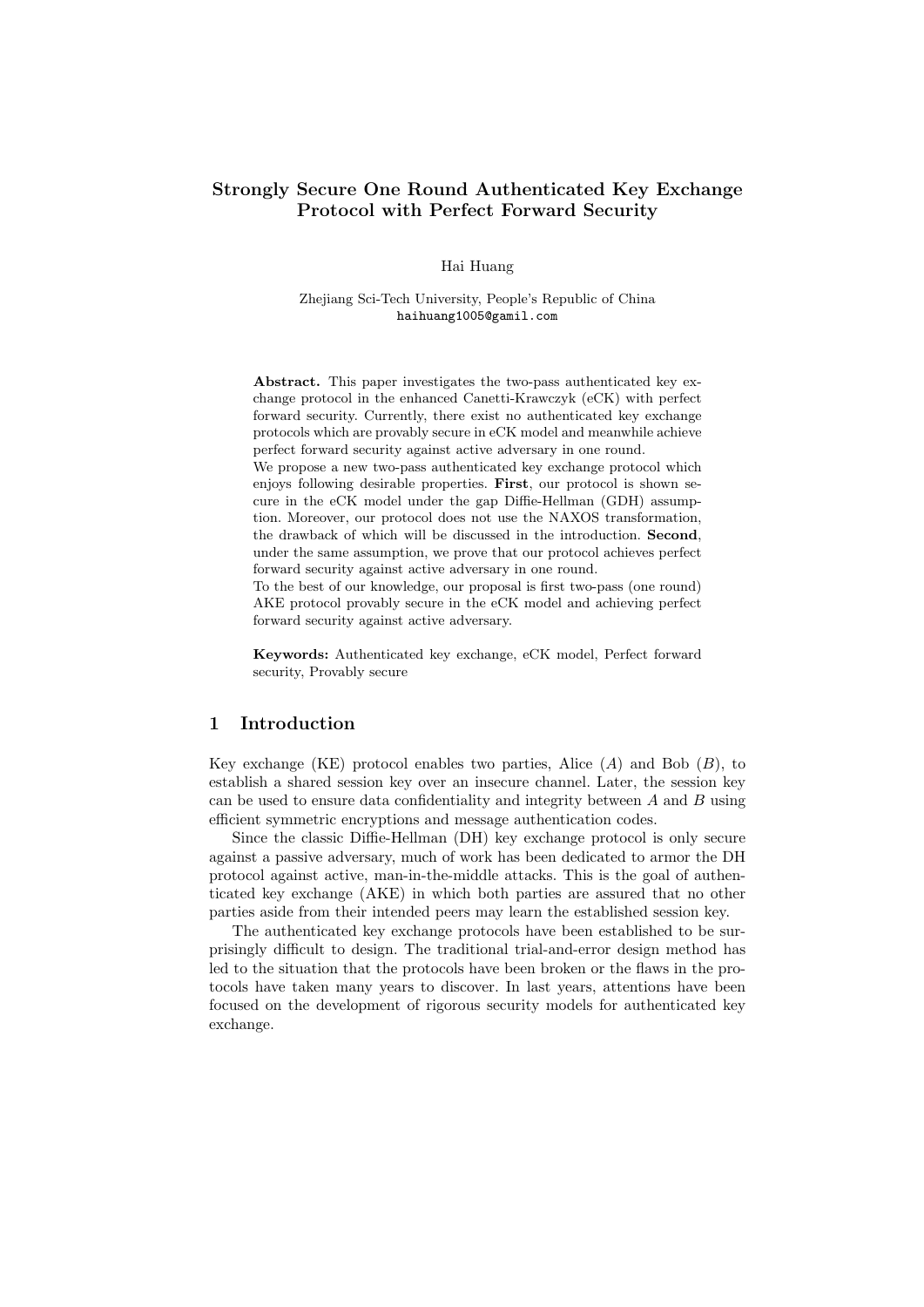## Strongly Secure One Round Authenticated Key Exchange Protocol with Perfect Forward Security

### Hai Huang

### Zhejiang Sci-Tech University, People's Republic of China haihuang1005@gamil.com

Abstract. This paper investigates the two-pass authenticated key exchange protocol in the enhanced Canetti-Krawczyk (eCK) with perfect forward security. Currently, there exist no authenticated key exchange protocols which are provably secure in eCK model and meanwhile achieve perfect forward security against active adversary in one round.

We propose a new two-pass authenticated key exchange protocol which enjoys following desirable properties. First, our protocol is shown secure in the eCK model under the gap Diffie-Hellman (GDH) assumption. Moreover, our protocol does not use the NAXOS transformation, the drawback of which will be discussed in the introduction. Second, under the same assumption, we prove that our protocol achieves perfect forward security against active adversary in one round.

To the best of our knowledge, our proposal is first two-pass (one round) AKE protocol provably secure in the eCK model and achieving perfect forward security against active adversary.

Keywords: Authenticated key exchange, eCK model, Perfect forward security, Provably secure

## 1 Introduction

Key exchange (KE) protocol enables two parties, Alice  $(A)$  and Bob  $(B)$ , to establish a shared session key over an insecure channel. Later, the session key can be used to ensure data confidentiality and integrity between  $A$  and  $B$  using efficient symmetric encryptions and message authentication codes.

Since the classic Diffie-Hellman (DH) key exchange protocol is only secure against a passive adversary, much of work has been dedicated to armor the DH protocol against active, man-in-the-middle attacks. This is the goal of authenticated key exchange (AKE) in which both parties are assured that no other parties aside from their intended peers may learn the established session key.

The authenticated key exchange protocols have been established to be surprisingly difficult to design. The traditional trial-and-error design method has led to the situation that the protocols have been broken or the flaws in the protocols have taken many years to discover. In last years, attentions have been focused on the development of rigorous security models for authenticated key exchange.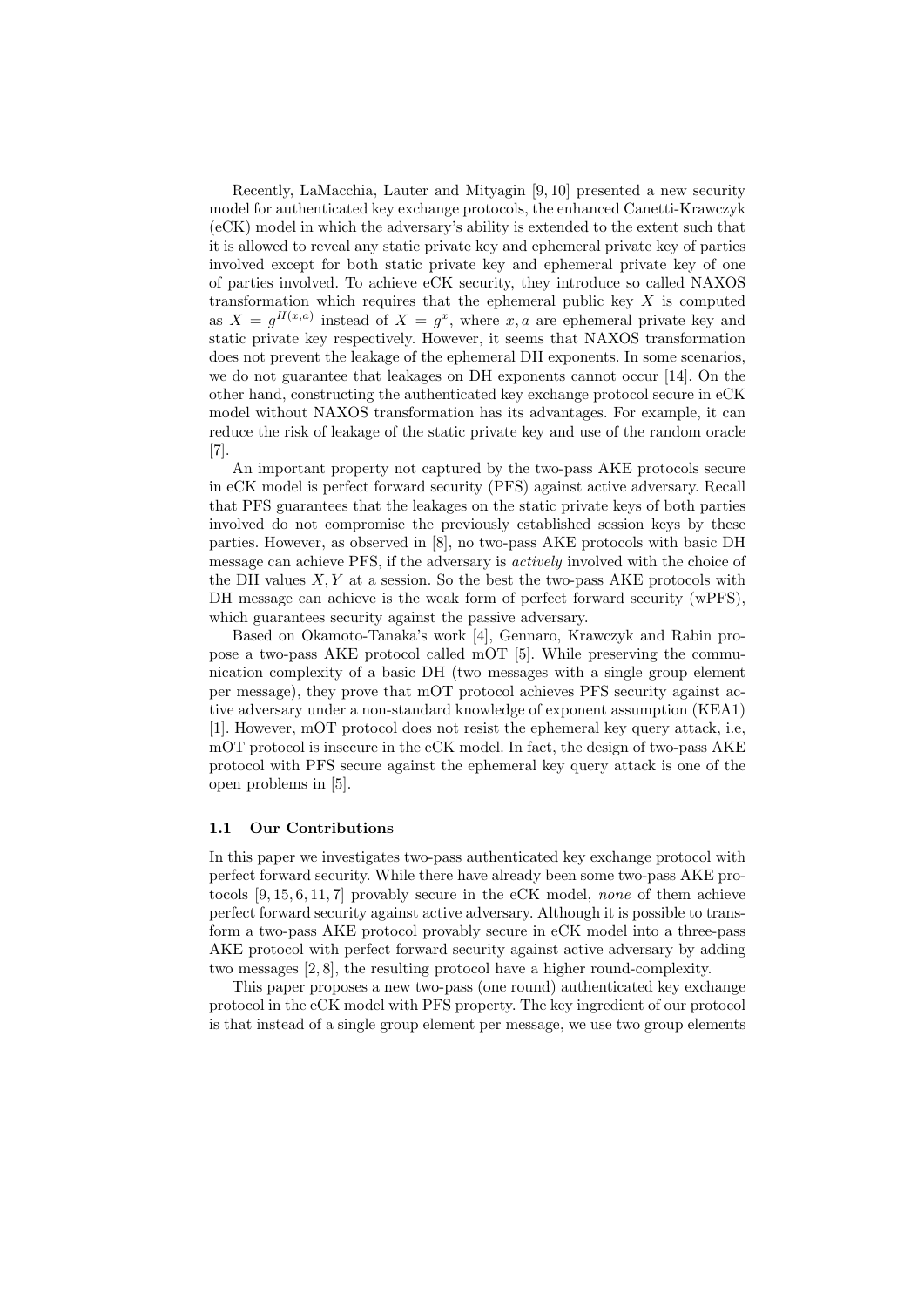Recently, LaMacchia, Lauter and Mityagin [9, 10] presented a new security model for authenticated key exchange protocols, the enhanced Canetti-Krawczyk (eCK) model in which the adversary's ability is extended to the extent such that it is allowed to reveal any static private key and ephemeral private key of parties involved except for both static private key and ephemeral private key of one of parties involved. To achieve eCK security, they introduce so called NAXOS transformation which requires that the ephemeral public key  $X$  is computed as  $X = g^{H(x,a)}$  instead of  $X = g^x$ , where x, a are ephemeral private key and static private key respectively. However, it seems that NAXOS transformation does not prevent the leakage of the ephemeral DH exponents. In some scenarios, we do not guarantee that leakages on DH exponents cannot occur [14]. On the other hand, constructing the authenticated key exchange protocol secure in eCK model without NAXOS transformation has its advantages. For example, it can reduce the risk of leakage of the static private key and use of the random oracle  $[7]$ 

An important property not captured by the two-pass AKE protocols secure in eCK model is perfect forward security (PFS) against active adversary. Recall that PFS guarantees that the leakages on the static private keys of both parties involved do not compromise the previously established session keys by these parties. However, as observed in [8], no two-pass AKE protocols with basic DH message can achieve PFS, if the adversary is actively involved with the choice of the DH values  $X, Y$  at a session. So the best the two-pass AKE protocols with DH message can achieve is the weak form of perfect forward security (wPFS), which guarantees security against the passive adversary.

Based on Okamoto-Tanaka's work [4], Gennaro, Krawczyk and Rabin propose a two-pass AKE protocol called mOT [5]. While preserving the communication complexity of a basic DH (two messages with a single group element per message), they prove that mOT protocol achieves PFS security against active adversary under a non-standard knowledge of exponent assumption (KEA1) [1]. However, mOT protocol does not resist the ephemeral key query attack, i.e, mOT protocol is insecure in the eCK model. In fact, the design of two-pass AKE protocol with PFS secure against the ephemeral key query attack is one of the open problems in [5].

### 1.1 Our Contributions

In this paper we investigates two-pass authenticated key exchange protocol with perfect forward security. While there have already been some two-pass AKE protocols [9, 15, 6, 11, 7] provably secure in the eCK model, none of them achieve perfect forward security against active adversary. Although it is possible to transform a two-pass AKE protocol provably secure in eCK model into a three-pass AKE protocol with perfect forward security against active adversary by adding two messages [2, 8], the resulting protocol have a higher round-complexity.

This paper proposes a new two-pass (one round) authenticated key exchange protocol in the eCK model with PFS property. The key ingredient of our protocol is that instead of a single group element per message, we use two group elements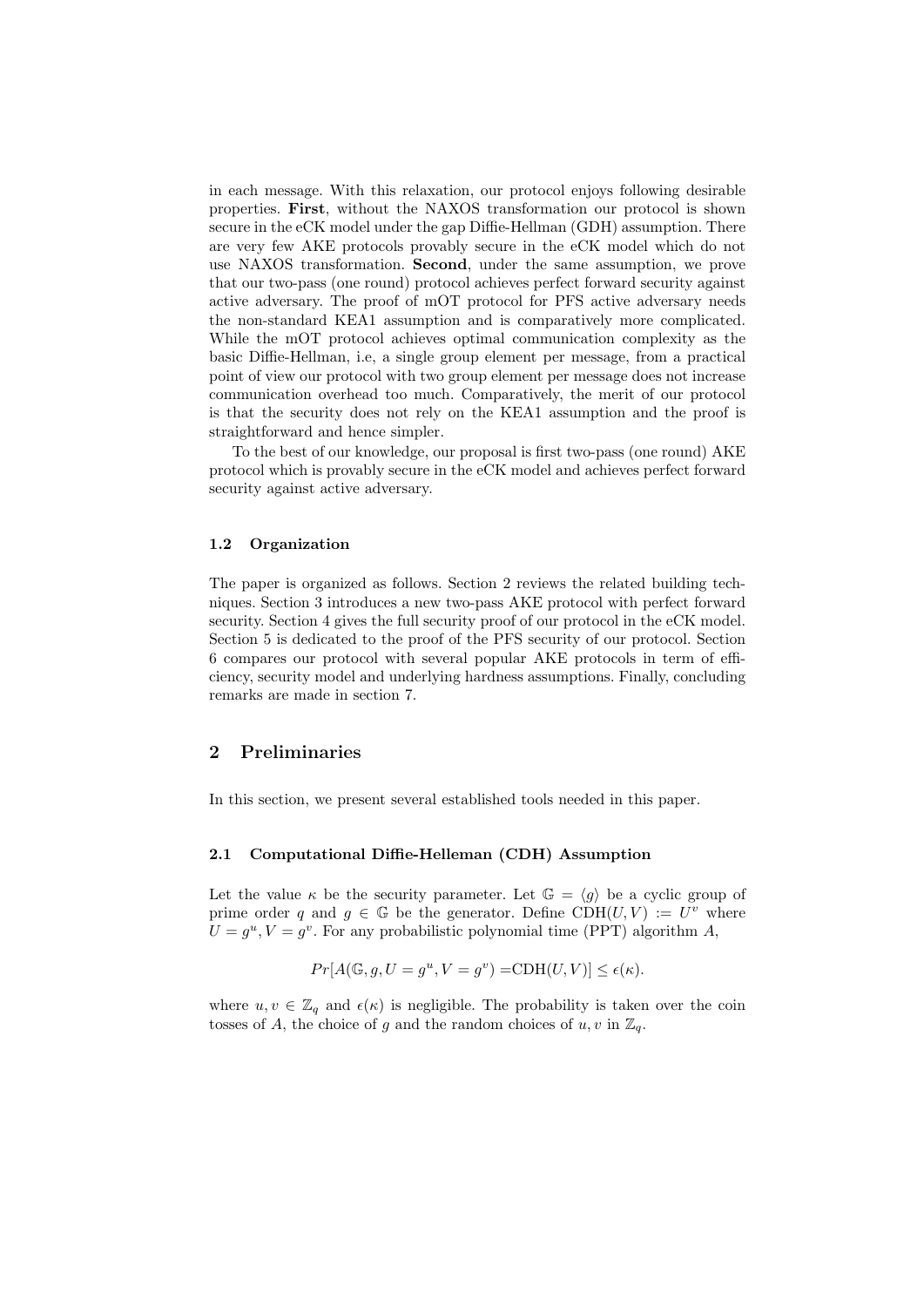in each message. With this relaxation, our protocol enjoys following desirable properties. First, without the NAXOS transformation our protocol is shown secure in the eCK model under the gap Diffie-Hellman (GDH) assumption. There are very few AKE protocols provably secure in the eCK model which do not use NAXOS transformation. Second, under the same assumption, we prove that our two-pass (one round) protocol achieves perfect forward security against active adversary. The proof of mOT protocol for PFS active adversary needs the non-standard KEA1 assumption and is comparatively more complicated. While the mOT protocol achieves optimal communication complexity as the basic Diffie-Hellman, i.e, a single group element per message, from a practical point of view our protocol with two group element per message does not increase communication overhead too much. Comparatively, the merit of our protocol is that the security does not rely on the KEA1 assumption and the proof is straightforward and hence simpler.

To the best of our knowledge, our proposal is first two-pass (one round) AKE protocol which is provably secure in the eCK model and achieves perfect forward security against active adversary.

#### 1.2 Organization

The paper is organized as follows. Section 2 reviews the related building techniques. Section 3 introduces a new two-pass AKE protocol with perfect forward security. Section 4 gives the full security proof of our protocol in the eCK model. Section 5 is dedicated to the proof of the PFS security of our protocol. Section 6 compares our protocol with several popular AKE protocols in term of efficiency, security model and underlying hardness assumptions. Finally, concluding remarks are made in section 7.

## 2 Preliminaries

In this section, we present several established tools needed in this paper.

### 2.1 Computational Diffie-Helleman (CDH) Assumption

Let the value  $\kappa$  be the security parameter. Let  $\mathbb{G} = \langle g \rangle$  be a cyclic group of prime order q and  $g \in \mathbb{G}$  be the generator. Define CDH $(U, V) := U^v$  where  $U = g^u, V = g^v$ . For any probabilistic polynomial time (PPT) algorithm A,

$$
Pr[A(\mathbb{G}, g, U = g^u, V = g^v) = CDH(U, V)] \le \epsilon(\kappa).
$$

where  $u, v \in \mathbb{Z}_q$  and  $\epsilon(\kappa)$  is negligible. The probability is taken over the coin tosses of A, the choice of g and the random choices of  $u, v$  in  $\mathbb{Z}_q$ .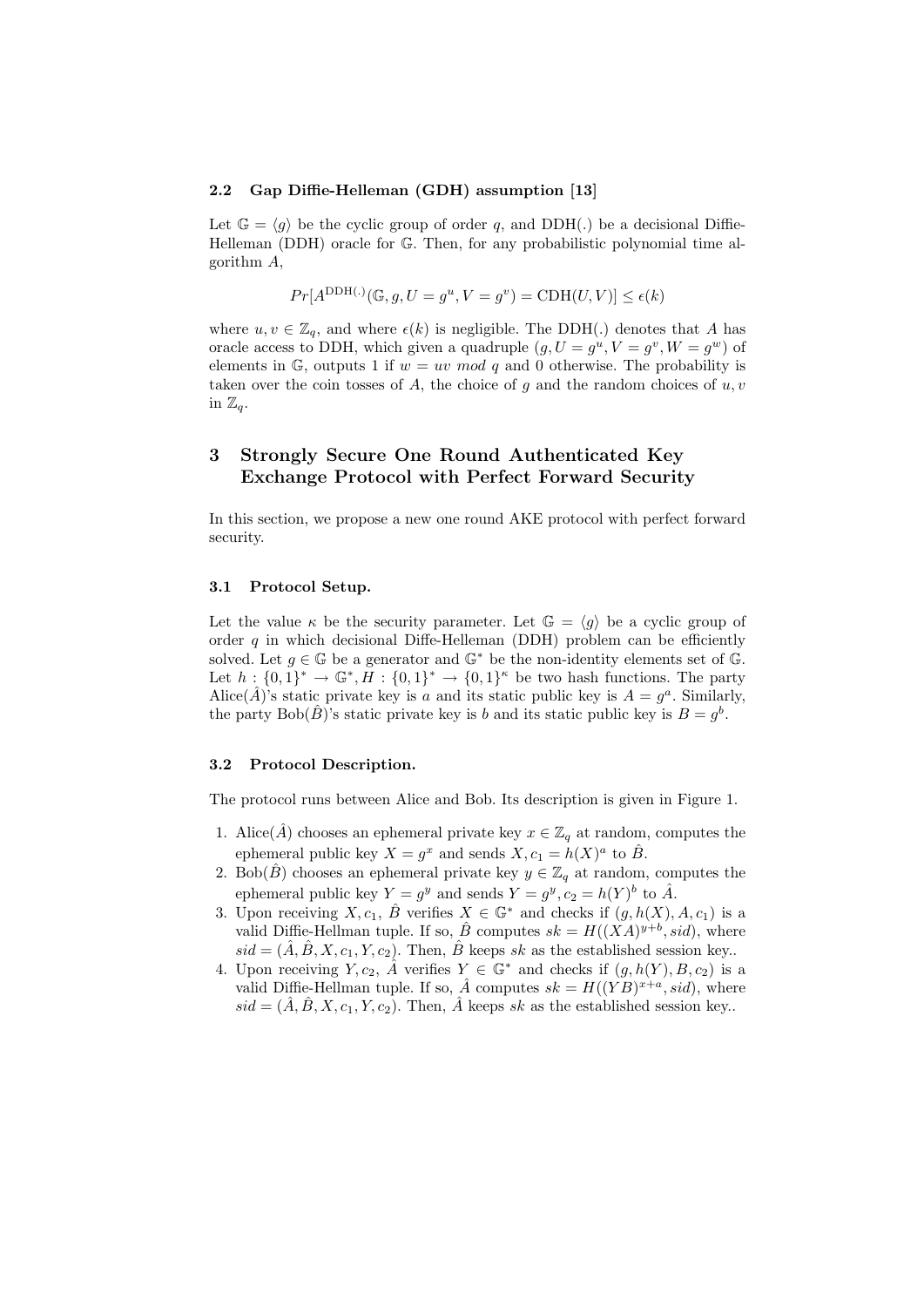#### 2.2 Gap Diffie-Helleman (GDH) assumption [13]

Let  $\mathbb{G} = \langle g \rangle$  be the cyclic group of order q, and DDH(.) be a decisional Diffie-Helleman (DDH) oracle for G. Then, for any probabilistic polynomial time algorithm A,

$$
Pr[A^{\text{DDH}}(\cdot)(\mathbb{G}, g, U = g^u, V = g^v) = \text{CDH}(U, V)] \le \epsilon(k)
$$

where  $u, v \in \mathbb{Z}_q$ , and where  $\epsilon(k)$  is negligible. The DDH(.) denotes that A has oracle access to DDH, which given a quadruple  $(g, U = g^u, V = g^v, W = g^w)$  of elements in  $\mathbb{G}$ , outputs 1 if  $w = uv \mod q$  and 0 otherwise. The probability is taken over the coin tosses of  $A$ , the choice of  $g$  and the random choices of  $u, v$ in  $\mathbb{Z}_q$ .

# 3 Strongly Secure One Round Authenticated Key Exchange Protocol with Perfect Forward Security

In this section, we propose a new one round AKE protocol with perfect forward security.

### 3.1 Protocol Setup.

Let the value  $\kappa$  be the security parameter. Let  $\mathbb{G} = \langle q \rangle$  be a cyclic group of order q in which decisional Diffe-Helleman (DDH) problem can be efficiently solved. Let  $g \in \mathbb{G}$  be a generator and  $\mathbb{G}^*$  be the non-identity elements set of  $\mathbb{G}$ . Let  $h: \{0,1\}^* \to \mathbb{G}^*, H: \{0,1\}^* \to \{0,1\}^{\kappa}$  be two hash functions. The party Alice( $\hat{A}$ )'s static private key is a and its static public key is  $A = g^a$ . Similarly, the party Bob( $(\hat{B})$ 's static private key is b and its static public key is  $B = g^b$ .

### 3.2 Protocol Description.

The protocol runs between Alice and Bob. Its description is given in Figure 1.

- 1. Alice( $\hat{A}$ ) chooses an ephemeral private key  $x \in \mathbb{Z}_q$  at random, computes the ephemeral public key  $X = g^x$  and sends  $X, c_1 = h(X)^a$  to  $\hat{B}$ .
- 2. Bob( $\hat{B}$ ) chooses an ephemeral private key  $y \in \mathbb{Z}_q$  at random, computes the ephemeral public key  $Y = g^y$  and sends  $Y = g^y$ ,  $c_2 = h(Y)^b$  to  $\hat{A}$ .
- 3. Upon receiving  $X, c_1, \hat{B}$  verifies  $X \in \mathbb{G}^*$  and checks if  $(g, h(X), A, c_1)$  is a valid Diffie-Hellman tuple. If so,  $\hat{B}$  computes  $sk = H((XA)^{y+b}, sid)$ , where  $sid = (\hat{A}, \hat{B}, X, c_1, Y, c_2)$ . Then,  $\hat{B}$  keeps sk as the established session key.
- 4. Upon receiving  $Y, c_2, \hat{A}$  verifies  $Y \in \mathbb{G}^*$  and checks if  $(g, h(Y), B, c_2)$  is a valid Diffie-Hellman tuple. If so,  $\hat{A}$  computes  $sk = H((YB)^{x+a}, sid)$ , where  $sid = (\hat{A}, \hat{B}, X, c_1, Y, c_2)$ . Then,  $\hat{A}$  keeps sk as the established session key.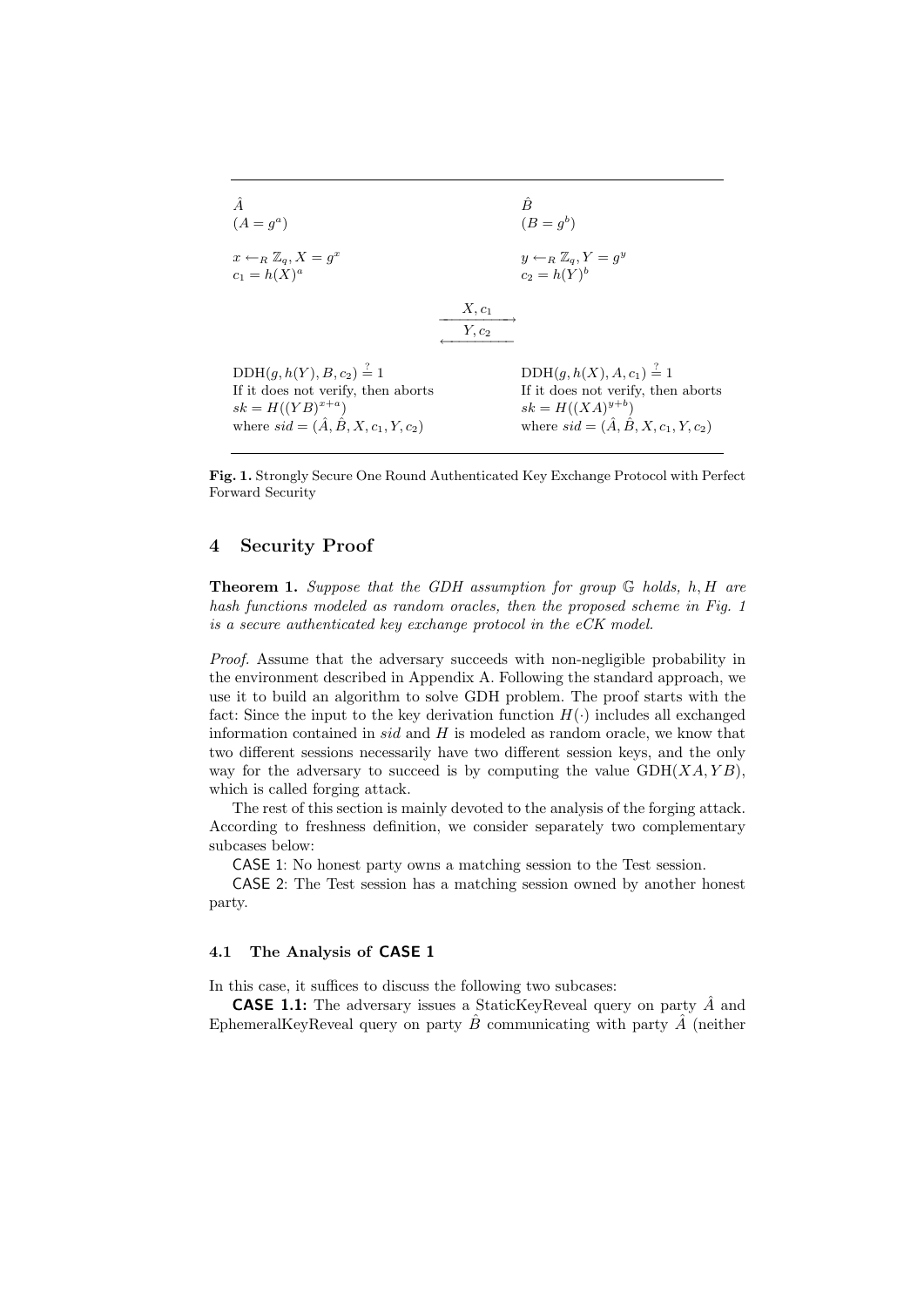

Fig. 1. Strongly Secure One Round Authenticated Key Exchange Protocol with Perfect Forward Security

## 4 Security Proof

**Theorem 1.** Suppose that the GDH assumption for group  $\mathbb{G}$  holds, h, H are hash functions modeled as random oracles, then the proposed scheme in Fig. 1 is a secure authenticated key exchange protocol in the eCK model.

Proof. Assume that the adversary succeeds with non-negligible probability in the environment described in Appendix A. Following the standard approach, we use it to build an algorithm to solve GDH problem. The proof starts with the fact: Since the input to the key derivation function  $H(\cdot)$  includes all exchanged information contained in sid and  $H$  is modeled as random oracle, we know that two different sessions necessarily have two different session keys, and the only way for the adversary to succeed is by computing the value  $GDH(XA, YB)$ , which is called forging attack.

The rest of this section is mainly devoted to the analysis of the forging attack. According to freshness definition, we consider separately two complementary subcases below:

CASE 1: No honest party owns a matching session to the Test session.

CASE 2: The Test session has a matching session owned by another honest party.

### 4.1 The Analysis of CASE 1

In this case, it suffices to discuss the following two subcases:

**CASE 1.1:** The adversary issues a StaticKeyReveal query on party  $\hat{A}$  and EphemeralKeyReveal query on party  $\hat{B}$  communicating with party  $\hat{A}$  (neither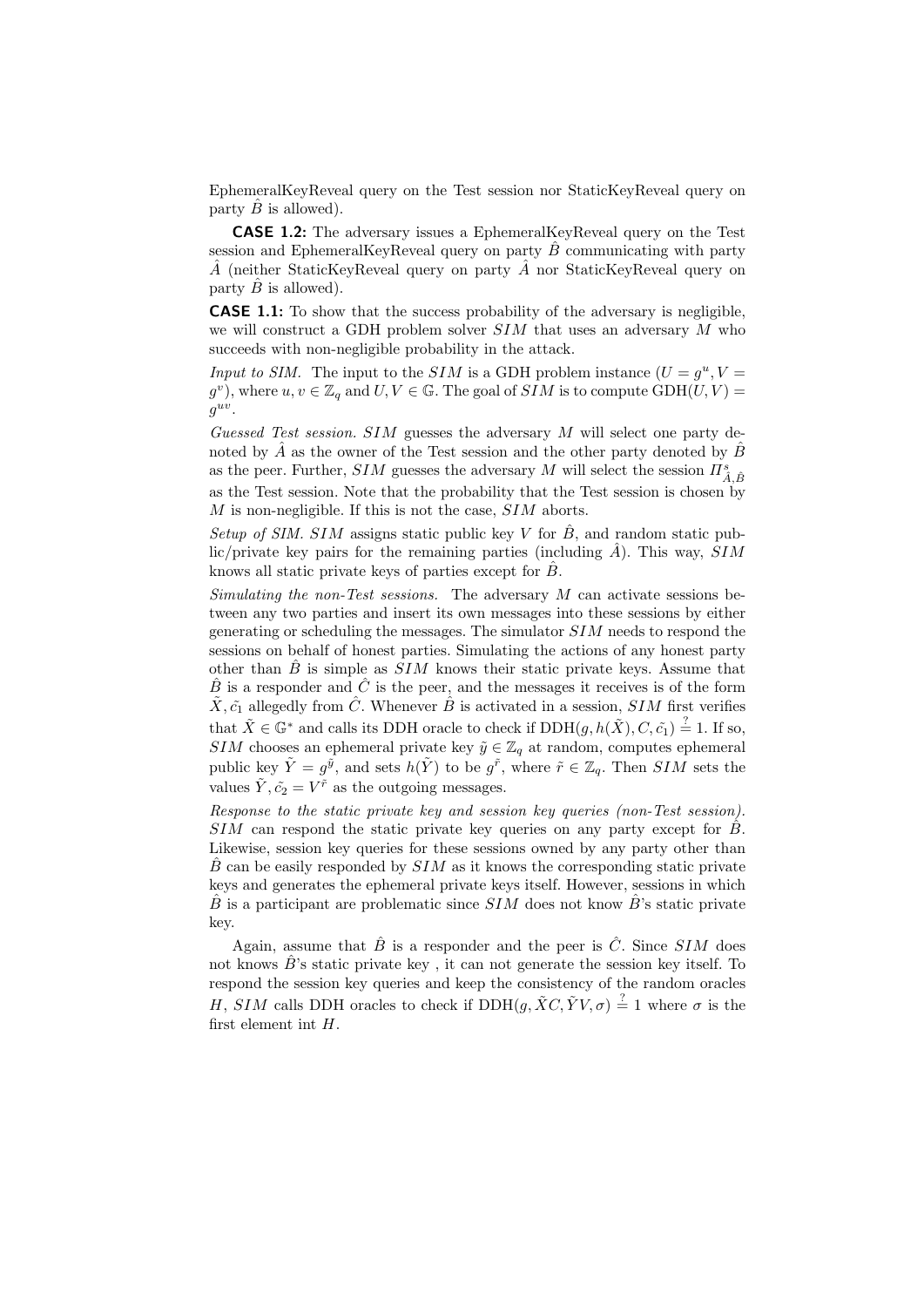EphemeralKeyReveal query on the Test session nor StaticKeyReveal query on party  $B$  is allowed).

CASE 1.2: The adversary issues a EphemeralKeyReveal query on the Test session and EphemeralKeyReveal query on party  $\hat{B}$  communicating with party  $\hat{A}$  (neither StaticKeyReveal query on party  $\hat{A}$  nor StaticKeyReveal query on party  $\hat{B}$  is allowed).

CASE 1.1: To show that the success probability of the adversary is negligible, we will construct a GDH problem solver  $SIM$  that uses an adversary  $M$  who succeeds with non-negligible probability in the attack.

Input to SIM. The input to the SIM is a GDH problem instance  $(U = g^u, V =$  $(g^v)$ , where  $u, v \in \mathbb{Z}_q$  and  $U, V \in \mathbb{G}$ . The goal of  $SIM$  is to compute  $\text{GDH}(U, V) =$  $g^{uv}$ .

Guessed Test session. SIM guesses the adversary M will select one party denoted by  $\hat{A}$  as the owner of the Test session and the other party denoted by  $\hat{B}$ as the peer. Further,  $SIM$  guesses the adversary  $M$  will select the session  $\varPi_{\hat{A},\hat{B}}^s$ as the Test session. Note that the probability that the Test session is chosen by  $M$  is non-negligible. If this is not the case,  $SIM$  aborts.

Setup of SIM. SIM assigns static public key V for  $\hat{B}$ , and random static public/private key pairs for the remaining parties (including  $\hat{A}$ ). This way, SIM knows all static private keys of parties except for  $\hat{B}$ .

Simulating the non-Test sessions. The adversary  $M$  can activate sessions between any two parties and insert its own messages into these sessions by either generating or scheduling the messages. The simulator SIM needs to respond the sessions on behalf of honest parties. Simulating the actions of any honest party other than  $\hat{B}$  is simple as  $SIM$  knows their static private keys. Assume that  $\hat{B}$  is a responder and  $\hat{C}$  is the peer, and the messages it receives is of the form  $\tilde{X}, \tilde{c}_1$  allegedly from  $\hat{C}$ . Whenever  $\hat{B}$  is activated in a session, SIM first verifies that  $\tilde{X} \in \mathbb{G}^*$  and calls its DDH oracle to check if  $\text{DDH}(g, h(\tilde{X}), C, \tilde{c}_1) \stackrel{?}{=} 1$ . If so, SIM chooses an ephemeral private key  $\tilde{y} \in \mathbb{Z}_q$  at random, computes ephemeral public key  $\tilde{Y} = g^{\tilde{y}}$ , and sets  $h(\tilde{Y})$  to be  $g^{\tilde{r}}$ , where  $\tilde{r} \in \mathbb{Z}_q$ . Then  $SIM$  sets the values  $\tilde{Y}, \tilde{c}_2 = V^{\tilde{r}}$  as the outgoing messages.

Response to the static private key and session key queries (non-Test session). SIM can respond the static private key queries on any party except for  $\hat{B}$ . Likewise, session key queries for these sessions owned by any party other than  $\overline{B}$  can be easily responded by  $\overline{S}$  as it knows the corresponding static private keys and generates the ephemeral private keys itself. However, sessions in which  $\hat{B}$  is a participant are problematic since  $SIM$  does not know  $\hat{B}$ 's static private key.

Again, assume that  $\hat{B}$  is a responder and the peer is  $\hat{C}$ . Since SIM does not knows  $\hat{B}$ 's static private key, it can not generate the session key itself. To respond the session key queries and keep the consistency of the random oracles H, SIM calls DDH oracles to check if  $\text{DDH}(g, \tilde{X}C, \tilde{Y}V, \sigma) \stackrel{?}{=} 1$  where  $\sigma$  is the first element int H.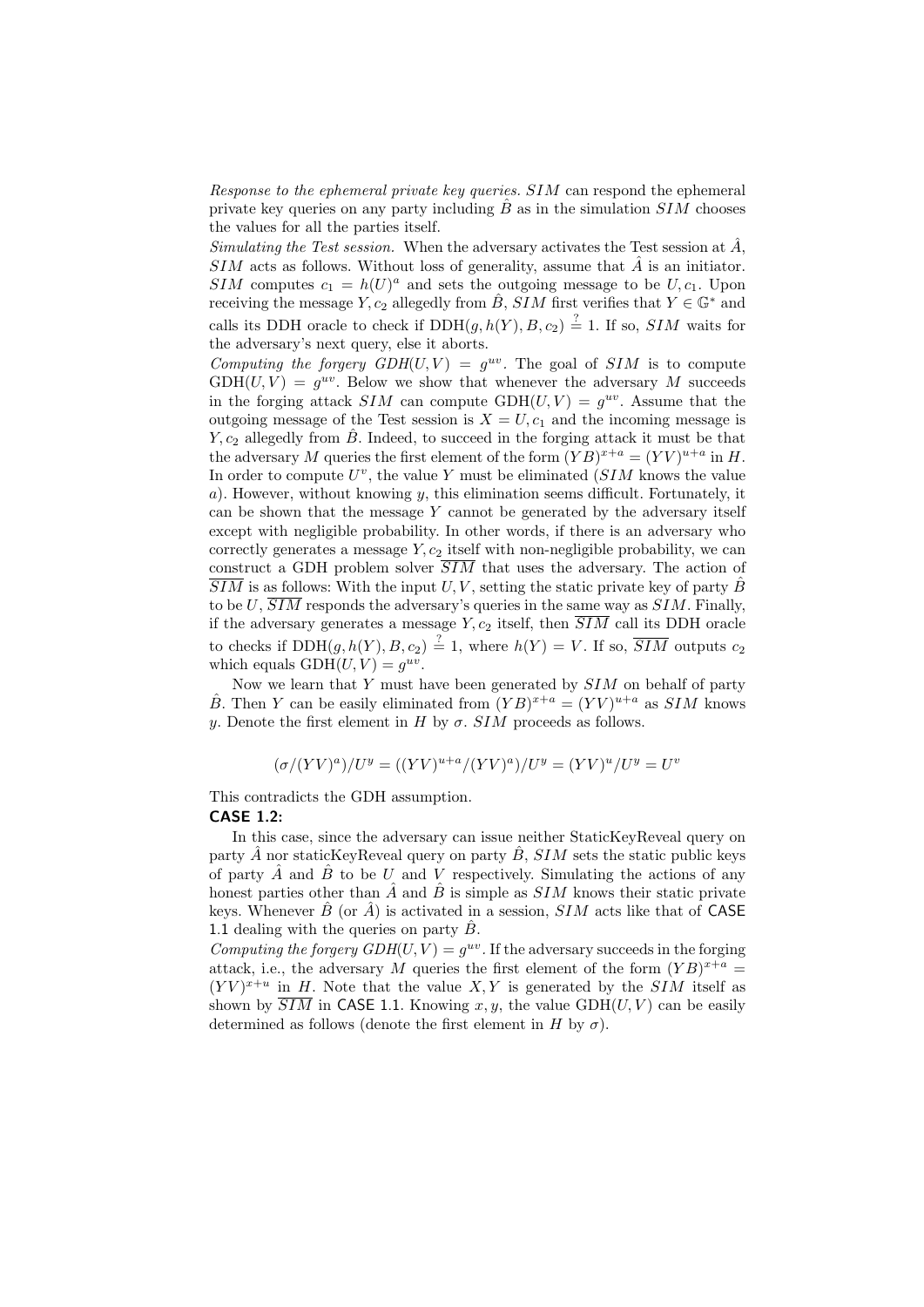Response to the ephemeral private key queries. SIM can respond the ephemeral private key queries on any party including  $\ddot{B}$  as in the simulation  $SIM$  chooses the values for all the parties itself.

Simulating the Test session. When the adversary activates the Test session at  $\hat{A}$ ,  $SIM$  acts as follows. Without loss of generality, assume that  $\hat{A}$  is an initiator. SIM computes  $c_1 = h(U)^a$  and sets the outgoing message to be  $U, c_1$ . Upon receiving the message Y,  $c_2$  allegedly from  $\hat{B}$ , SIM first verifies that  $Y \in \mathbb{G}^*$  and calls its DDH oracle to check if  $DDH(g, h(Y), B, c_2) \stackrel{?}{=} 1$ . If so, SIM waits for the adversary's next query, else it aborts.

Computing the forgery  $GDH(U, V) = g^{uv}$ . The goal of SIM is to compute  $GDH(U, V) = g^{uv}$ . Below we show that whenever the adversary M succeeds in the forging attack  $SIM$  can compute  $GDH(U, V) = g^{uv}$ . Assume that the outgoing message of the Test session is  $X = U, c_1$  and the incoming message is Y,  $c_2$  allegedly from  $\hat{B}$ . Indeed, to succeed in the forging attack it must be that the adversary M queries the first element of the form  $(YB)^{x+a} = (YV)^{u+a}$  in H. In order to compute  $U^v$ , the value Y must be eliminated  $(SIM)$  knows the value a). However, without knowing y, this elimination seems difficult. Fortunately, it can be shown that the message  $Y$  cannot be generated by the adversary itself except with negligible probability. In other words, if there is an adversary who correctly generates a message  $Y, c_2$  itself with non-negligible probability, we can construct a GDH problem solver  $\overline{SIM}$  that uses the adversary. The action of  $\overline{SIM}$  is as follows: With the input U, V, setting the static private key of party  $\hat{B}$ to be U,  $\overline{SIM}$  responds the adversary's queries in the same way as  $SIM$ . Finally, if the adversary generates a message  $Y, c_2$  itself, then  $\overline{SIM}$  call its DDH oracle to checks if  $DDH(g, h(Y), B, c_2) \stackrel{?}{=} 1$ , where  $h(Y) = V$ . If so,  $\overline{SIM}$  outputs  $c_2$ which equals  $GDH(U, V) = g^{uv}$ .

Now we learn that  $Y$  must have been generated by  $SIM$  on behalf of party  $\hat{B}$ . Then Y can be easily eliminated from  $(YB)^{x+a} = (YV)^{u+a}$  as SIM knows y. Denote the first element in H by  $\sigma$ . SIM proceeds as follows.

$$
(\sigma/(YV)^{a})/U^{y} = ((YV)^{u+a}/(YV)^{a})/U^{y} = (YV)^{u}/U^{y} = U^{v}
$$

This contradicts the GDH assumption.

### CASE 1.2:

In this case, since the adversary can issue neither StaticKeyReveal query on party  $\hat{A}$  nor staticKeyReveal query on party  $\hat{B}$ , SIM sets the static public keys of party  $\hat{A}$  and  $\hat{B}$  to be U and V respectively. Simulating the actions of any honest parties other than  $\hat{A}$  and  $\hat{B}$  is simple as SIM knows their static private keys. Whenever  $\hat{B}$  (or  $\hat{A}$ ) is activated in a session,  $SIM$  acts like that of CASE 1.1 dealing with the queries on party  $\hat{B}$ .

Computing the forgery  $GDH(U, V) = g^{uv}$ . If the adversary succeeds in the forging attack, i.e., the adversary M queries the first element of the form  $(YB)^{x+a}$  $(YV)^{x+u}$  in H. Note that the value X, Y is generated by the SIM itself as shown by  $SIM$  in CASE 1.1. Knowing x, y, the value GDH(U, V) can be easily determined as follows (denote the first element in H by  $\sigma$ ).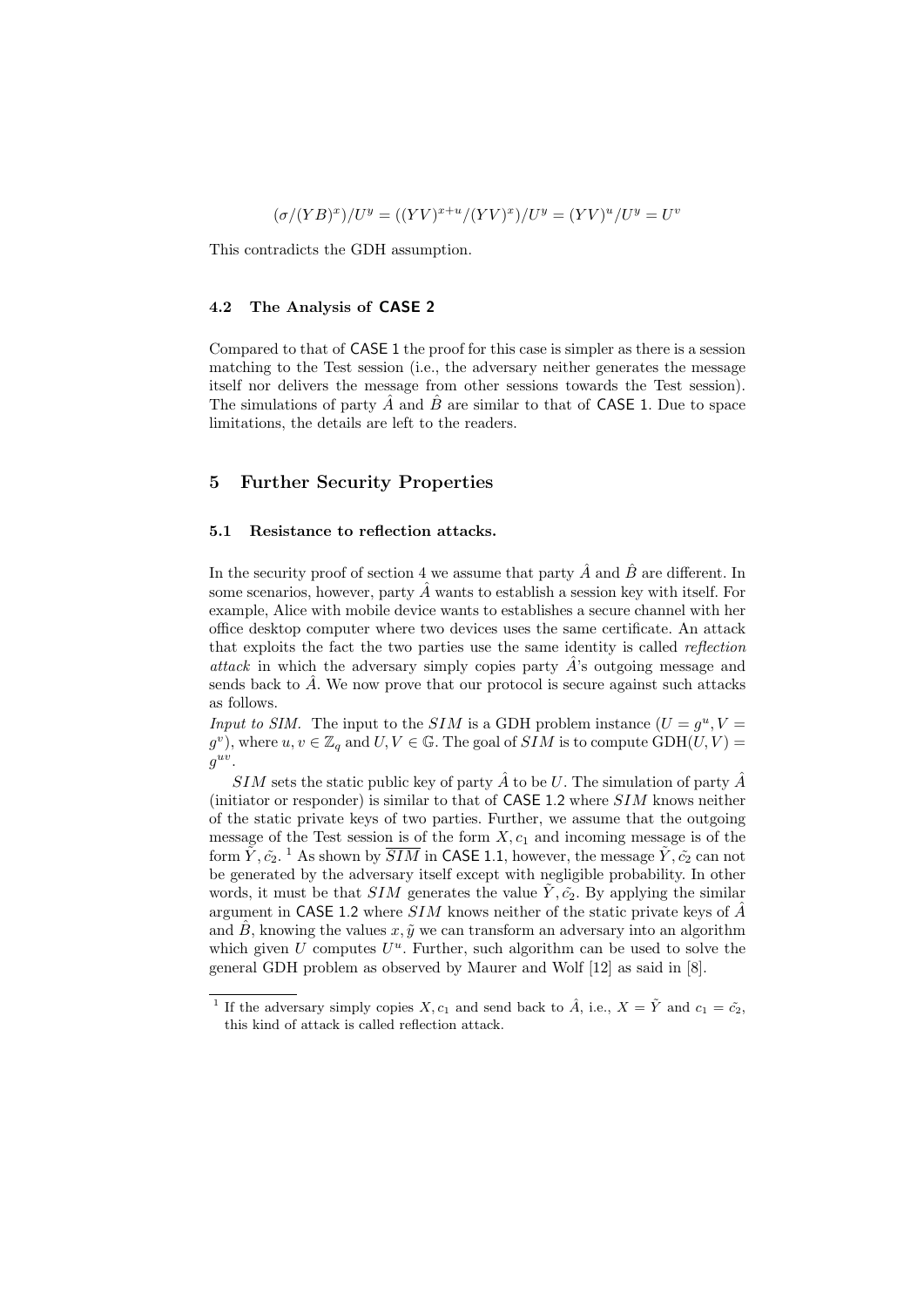$$
(\sigma/(YB)^x)/U^y = ((YV)^{x+u}/(YV)^x)/U^y = (YV)^u/U^y = U^v
$$

This contradicts the GDH assumption.

### 4.2 The Analysis of CASE 2

Compared to that of CASE 1 the proof for this case is simpler as there is a session matching to the Test session (i.e., the adversary neither generates the message itself nor delivers the message from other sessions towards the Test session). The simulations of party  $\hat{A}$  and  $\hat{B}$  are similar to that of CASE 1. Due to space limitations, the details are left to the readers.

### 5 Further Security Properties

### 5.1 Resistance to reflection attacks.

In the security proof of section 4 we assume that party  $\hat{A}$  and  $\hat{B}$  are different. In some scenarios, however, party  $\hat{A}$  wants to establish a session key with itself. For example, Alice with mobile device wants to establishes a secure channel with her office desktop computer where two devices uses the same certificate. An attack that exploits the fact the two parties use the same identity is called reflection attack in which the adversary simply copies party  $\hat{A}$ 's outgoing message and sends back to  $\ddot{A}$ . We now prove that our protocol is secure against such attacks as follows.

Input to SIM. The input to the SIM is a GDH problem instance  $(U = g^u, V =$  $(g^v)$ , where  $u, v \in \mathbb{Z}_q$  and  $U, V \in \mathbb{G}$ . The goal of  $SIM$  is to compute  $\text{GDH}(U, V) =$  $g^{uv}$ .

SIM sets the static public key of party  $\hat{A}$  to be U. The simulation of party  $\hat{A}$ (initiator or responder) is similar to that of CASE 1.2 where SIM knows neither of the static private keys of two parties. Further, we assume that the outgoing message of the Test session is of the form  $X, c_1$  and incoming message is of the form  $\tilde{Y}, \tilde{c_2}.$  <sup>1</sup> As shown by  $\overline{SIM}$  in CASE 1.1, however, the message  $\tilde{Y}, \tilde{c_2}$  can not be generated by the adversary itself except with negligible probability. In other words, it must be that SIM generates the value  $\tilde{Y}, \tilde{c_2}$ . By applying the similar argument in CASE 1.2 where  $SIM$  knows neither of the static private keys of  $\hat{A}$ and  $\hat{B}$ , knowing the values x,  $\tilde{y}$  we can transform an adversary into an algorithm which given  $U$  computes  $U^u$ . Further, such algorithm can be used to solve the general GDH problem as observed by Maurer and Wolf [12] as said in [8].

<sup>&</sup>lt;sup>1</sup> If the adversary simply copies X,  $c_1$  and send back to  $\hat{A}$ , i.e.,  $X = \tilde{Y}$  and  $c_1 = \tilde{c_2}$ , this kind of attack is called reflection attack.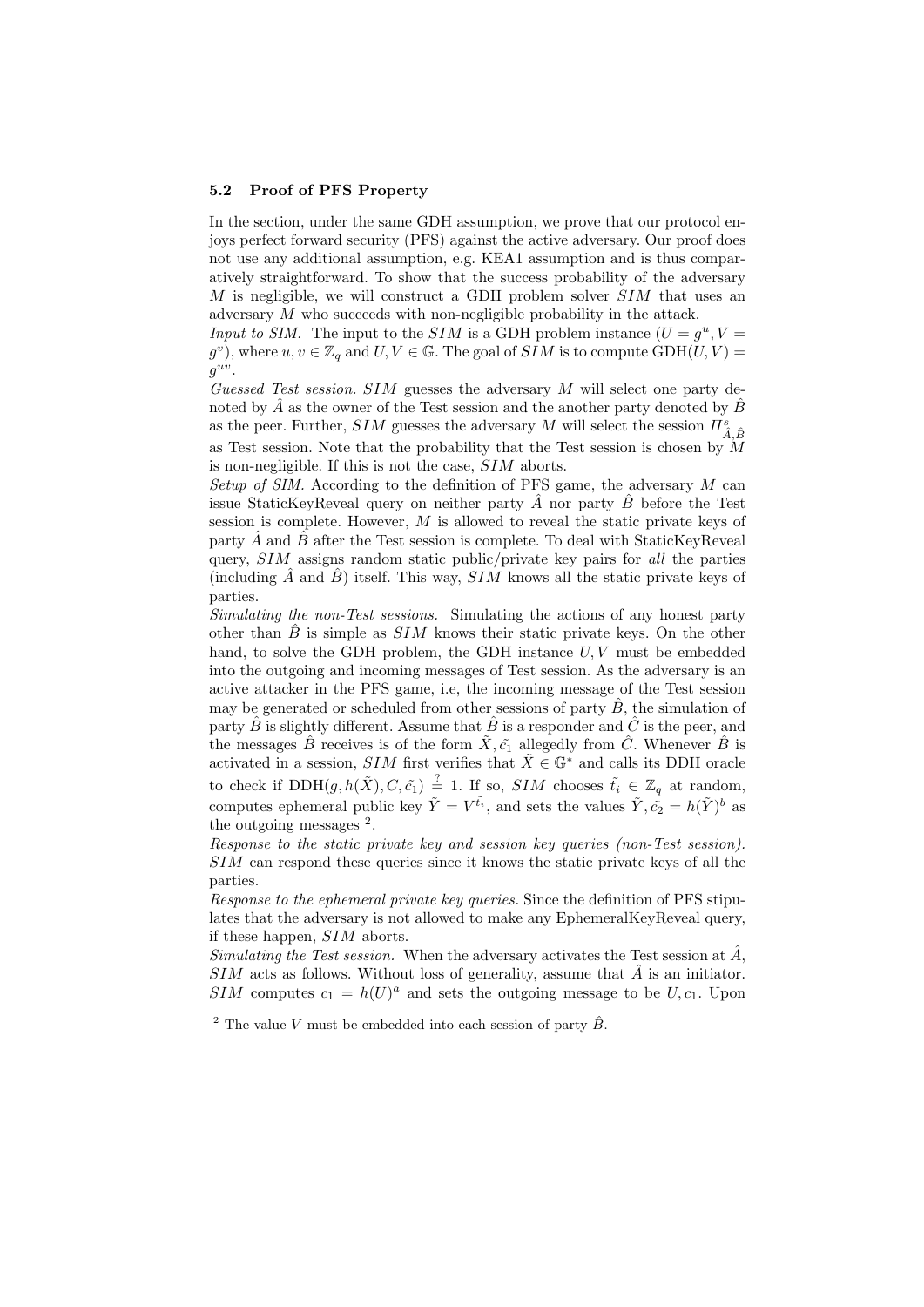#### 5.2 Proof of PFS Property

In the section, under the same GDH assumption, we prove that our protocol enjoys perfect forward security (PFS) against the active adversary. Our proof does not use any additional assumption, e.g. KEA1 assumption and is thus comparatively straightforward. To show that the success probability of the adversary  $M$  is negligible, we will construct a GDH problem solver  $SIM$  that uses an adversary M who succeeds with non-negligible probability in the attack.

Input to SIM. The input to the SIM is a GDH problem instance  $(U = g^u, V =$  $(g^v)$ , where  $u, v \in \mathbb{Z}_q$  and  $U, V \in \mathbb{G}$ . The goal of  $SIM$  is to compute  $\text{GDH}(U, V) =$  $g^{uv}$ .

Guessed Test session. SIM guesses the adversary M will select one party denoted by  $A$  as the owner of the Test session and the another party denoted by  $B$ as the peer. Further,  $SIM$  guesses the adversary  $M$  will select the session  $\varPi_{\hat{A},\hat{B}}^s$ as Test session. Note that the probability that the Test session is chosen by  $\dot{M}$ is non-negligible. If this is not the case, SIM aborts.

Setup of SIM. According to the definition of PFS game, the adversary  $M$  can issue StaticKeyReveal query on neither party  $\hat{A}$  nor party  $\hat{B}$  before the Test session is complete. However, M is allowed to reveal the static private keys of party  $\hat{A}$  and  $\hat{B}$  after the Test session is complete. To deal with StaticKeyReveal query, SIM assigns random static public/private key pairs for all the parties (including  $\hat{A}$  and  $\hat{B}$ ) itself. This way,  $SIM$  knows all the static private keys of parties.

Simulating the non-Test sessions. Simulating the actions of any honest party other than  $\hat{B}$  is simple as  $SIM$  knows their static private keys. On the other hand, to solve the GDH problem, the GDH instance  $U, V$  must be embedded into the outgoing and incoming messages of Test session. As the adversary is an active attacker in the PFS game, i.e, the incoming message of the Test session may be generated or scheduled from other sessions of party  $\hat{B}$ , the simulation of party  $\hat{B}$  is slightly different. Assume that  $\hat{B}$  is a responder and  $\hat{C}$  is the peer, and the messages  $\hat{B}$  receives is of the form  $\tilde{X}, \tilde{c}_1$  allegedly from  $\hat{C}$ . Whenever  $\hat{B}$  is activated in a session, SIM first verifies that  $\tilde{X} \in \mathbb{G}^*$  and calls its DDH oracle to check if  $DDH(g, h(\tilde{X}), C, \tilde{c_1}) \stackrel{?}{=} 1$ . If so,  $SIM$  chooses  $\tilde{t_i} \in \mathbb{Z}_q$  at random, computes ephemeral public key  $\tilde{Y} = V^{\tilde{t}_i}$ , and sets the values  $\tilde{Y}, \tilde{c}_2 = h(\tilde{Y})^b$  as the outgoing messages  $^2$ .

Response to the static private key and session key queries (non-Test session). SIM can respond these queries since it knows the static private keys of all the parties.

Response to the ephemeral private key queries. Since the definition of PFS stipulates that the adversary is not allowed to make any EphemeralKeyReveal query, if these happen, SIM aborts.

Simulating the Test session. When the adversary activates the Test session at  $\hat{A}$ ,  $SIM$  acts as follows. Without loss of generality, assume that  $\hat{A}$  is an initiator. SIM computes  $c_1 = h(U)^a$  and sets the outgoing message to be  $U, c_1$ . Upon

<sup>&</sup>lt;sup>2</sup> The value V must be embedded into each session of party  $\hat{B}$ .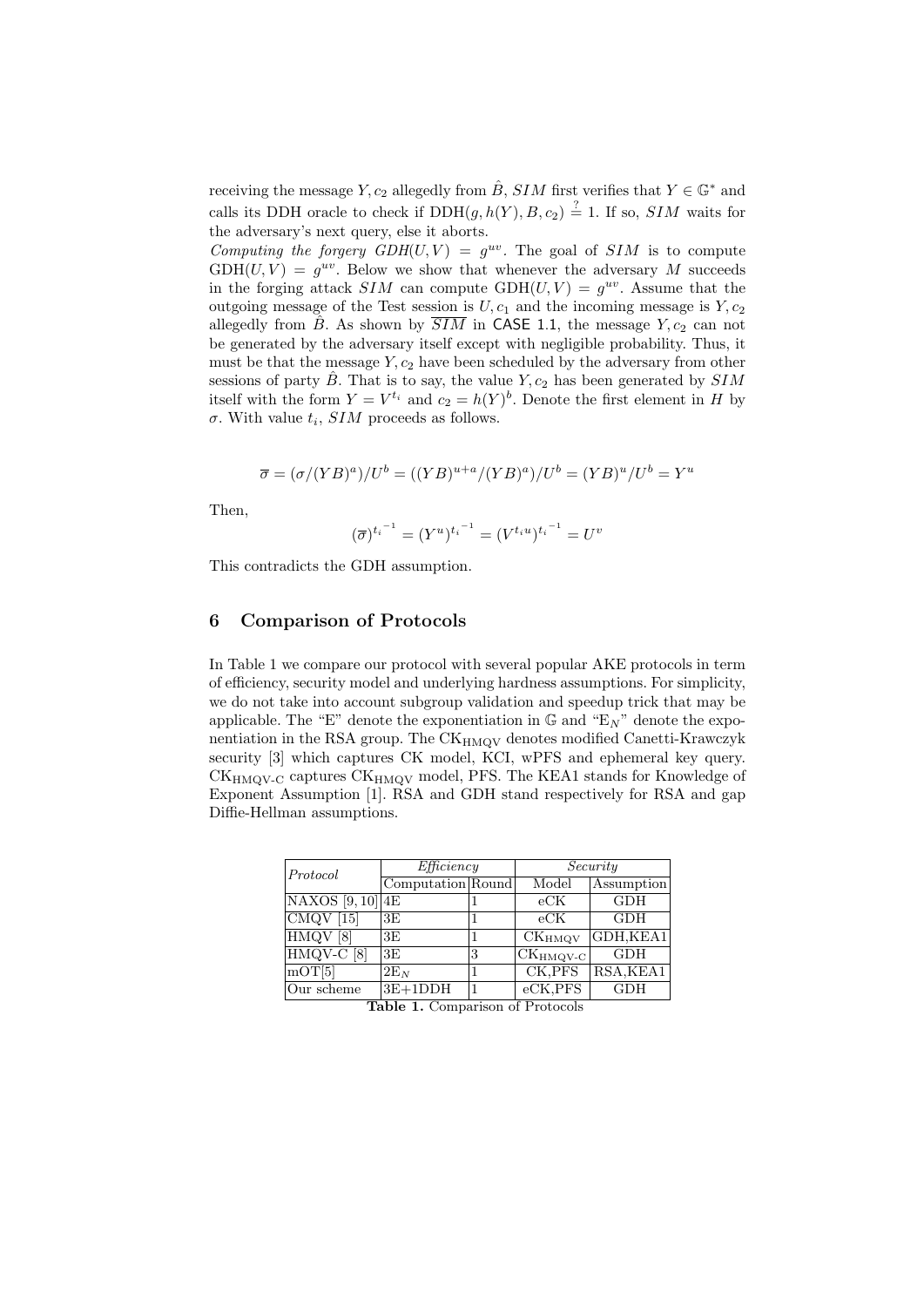receiving the message Y,  $c_2$  allegedly from  $\hat{B}$ , SIM first verifies that  $Y \in \mathbb{G}^*$  and calls its DDH oracle to check if  $DDH(g, h(Y), B, c_2) \stackrel{?}{=} 1$ . If so, SIM waits for the adversary's next query, else it aborts.

Computing the forgery  $GDH(U, V) = g^{uv}$ . The goal of SIM is to compute  $GDH(U, V) = g^{uv}$ . Below we show that whenever the adversary M succeeds in the forging attack  $SIM$  can compute  $GDH(U, V) = g^{uv}$ . Assume that the outgoing message of the Test session is  $U, c_1$  and the incoming message is  $Y, c_2$ allegedly from  $\hat{B}$ . As shown by  $\overline{SIM}$  in CASE 1.1, the message  $Y, c_2$  can not be generated by the adversary itself except with negligible probability. Thus, it must be that the message  $Y, c_2$  have been scheduled by the adversary from other sessions of party  $\hat{B}$ . That is to say, the value  $Y, c_2$  has been generated by  $SIM$ itself with the form  $Y = V^{t_i}$  and  $c_2 = h(Y)^b$ . Denote the first element in H by  $\sigma$ . With value  $t_i$ ,  $SIM$  proceeds as follows.

$$
\overline{\sigma} = (\sigma/(YB)^a)/U^b = ((YB)^{u+a}/(YB)^a)/U^b = (YB)^u/U^b = Y^u
$$

Then,

$$
(\overline{\sigma})^{t_i^{-1}} = (Y^u)^{t_i^{-1}} = (V^{t_i u})^{t_i^{-1}} = U^v
$$

This contradicts the GDH assumption.

### 6 Comparison of Protocols

In Table 1 we compare our protocol with several popular AKE protocols in term of efficiency, security model and underlying hardness assumptions. For simplicity, we do not take into account subgroup validation and speedup trick that may be applicable. The "E" denote the exponentiation in  $\mathbb{G}$  and "E<sub>N</sub>" denote the exponentiation in the RSA group. The  $CK<sub>HMOV</sub>$  denotes modified Canetti-Krawczyk security [3] which captures CK model, KCI, wPFS and ephemeral key query. CK<sub>HMQV-C</sub> captures CK<sub>HMQV</sub> model, PFS. The KEA1 stands for Knowledge of Exponent Assumption [1]. RSA and GDH stand respectively for RSA and gap Diffie-Hellman assumptions.

| Protocol             | Efficiency        |   | Security                                    |            |
|----------------------|-------------------|---|---------------------------------------------|------------|
|                      | Computation Round |   | Model                                       | Assumption |
| $NAXOS$ [9, 10] $4E$ |                   |   | $_{\rm eCK}$                                | <b>GDH</b> |
| $CMQV$ [15]          | 3E                |   | eCK                                         | <b>GDH</b> |
| HMQV[8]              | 3E                |   | $\overline{\text{C}}\text{K}_{\text{HMQV}}$ | GDH.KEA1   |
| HMQV-C [8]           | 3E                | 3 | $CKHMQV-C$                                  | <b>GDH</b> |
| mOT[5]               | $2E_N$            |   | CK, PFS                                     | RSA, KEA1  |
| Our scheme           | $3E+1DDH$         |   | eCK, PFS                                    | <b>GDH</b> |

Table 1. Comparison of Protocols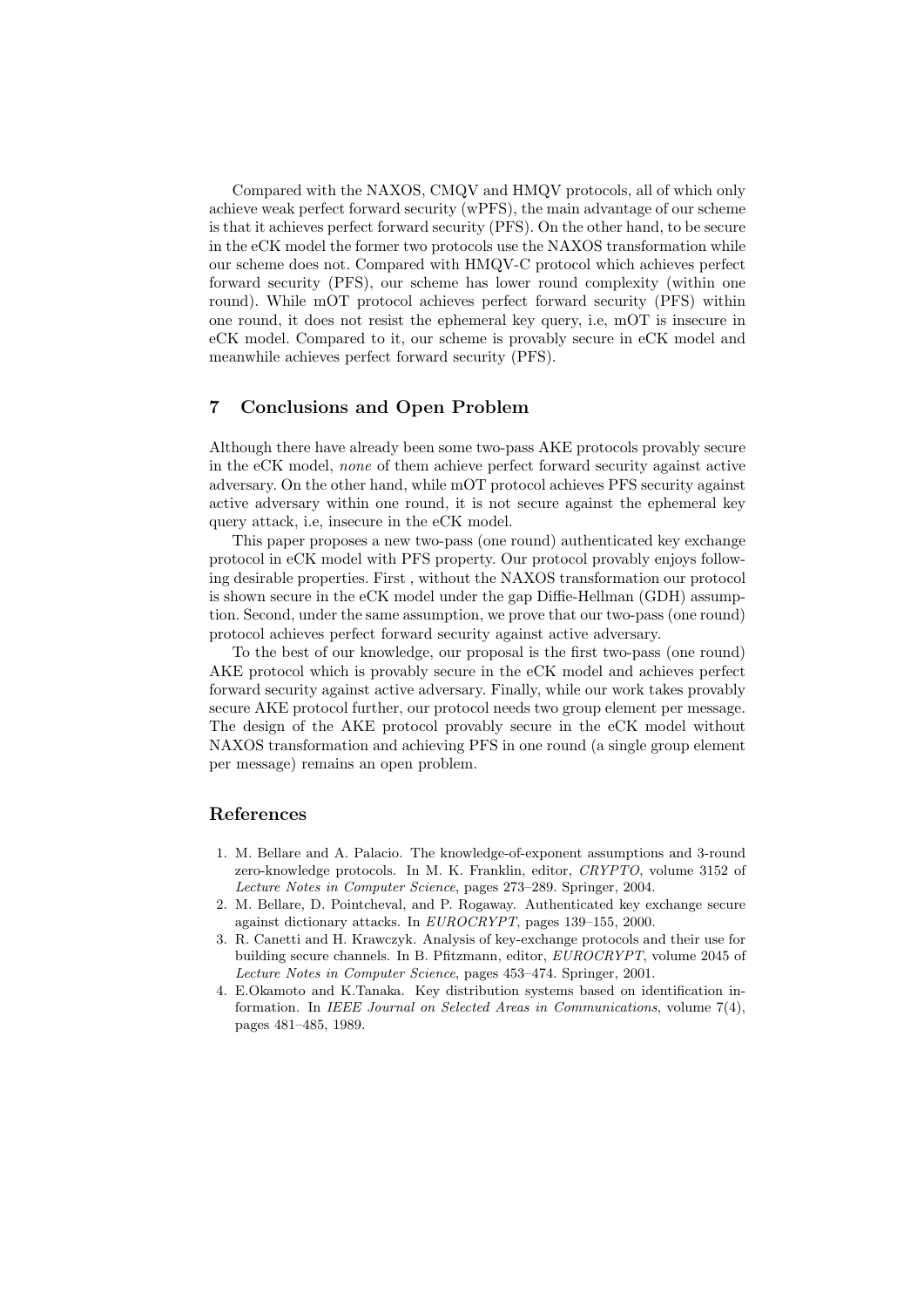Compared with the NAXOS, CMQV and HMQV protocols, all of which only achieve weak perfect forward security (wPFS), the main advantage of our scheme is that it achieves perfect forward security (PFS). On the other hand, to be secure in the eCK model the former two protocols use the NAXOS transformation while our scheme does not. Compared with HMQV-C protocol which achieves perfect forward security (PFS), our scheme has lower round complexity (within one round). While mOT protocol achieves perfect forward security (PFS) within one round, it does not resist the ephemeral key query, i.e, mOT is insecure in eCK model. Compared to it, our scheme is provably secure in eCK model and meanwhile achieves perfect forward security (PFS).

## 7 Conclusions and Open Problem

Although there have already been some two-pass AKE protocols provably secure in the eCK model, none of them achieve perfect forward security against active adversary. On the other hand, while mOT protocol achieves PFS security against active adversary within one round, it is not secure against the ephemeral key query attack, i.e, insecure in the eCK model.

This paper proposes a new two-pass (one round) authenticated key exchange protocol in eCK model with PFS property. Our protocol provably enjoys following desirable properties. First , without the NAXOS transformation our protocol is shown secure in the eCK model under the gap Diffie-Hellman (GDH) assumption. Second, under the same assumption, we prove that our two-pass (one round) protocol achieves perfect forward security against active adversary.

To the best of our knowledge, our proposal is the first two-pass (one round) AKE protocol which is provably secure in the eCK model and achieves perfect forward security against active adversary. Finally, while our work takes provably secure AKE protocol further, our protocol needs two group element per message. The design of the AKE protocol provably secure in the eCK model without NAXOS transformation and achieving PFS in one round (a single group element per message) remains an open problem.

## References

- 1. M. Bellare and A. Palacio. The knowledge-of-exponent assumptions and 3-round zero-knowledge protocols. In M. K. Franklin, editor, CRYPTO, volume 3152 of Lecture Notes in Computer Science, pages 273–289. Springer, 2004.
- 2. M. Bellare, D. Pointcheval, and P. Rogaway. Authenticated key exchange secure against dictionary attacks. In EUROCRYPT, pages 139–155, 2000.
- 3. R. Canetti and H. Krawczyk. Analysis of key-exchange protocols and their use for building secure channels. In B. Pfitzmann, editor, EUROCRYPT, volume 2045 of Lecture Notes in Computer Science, pages 453–474. Springer, 2001.
- 4. E.Okamoto and K.Tanaka. Key distribution systems based on identification information. In IEEE Journal on Selected Areas in Communications, volume 7(4), pages 481–485, 1989.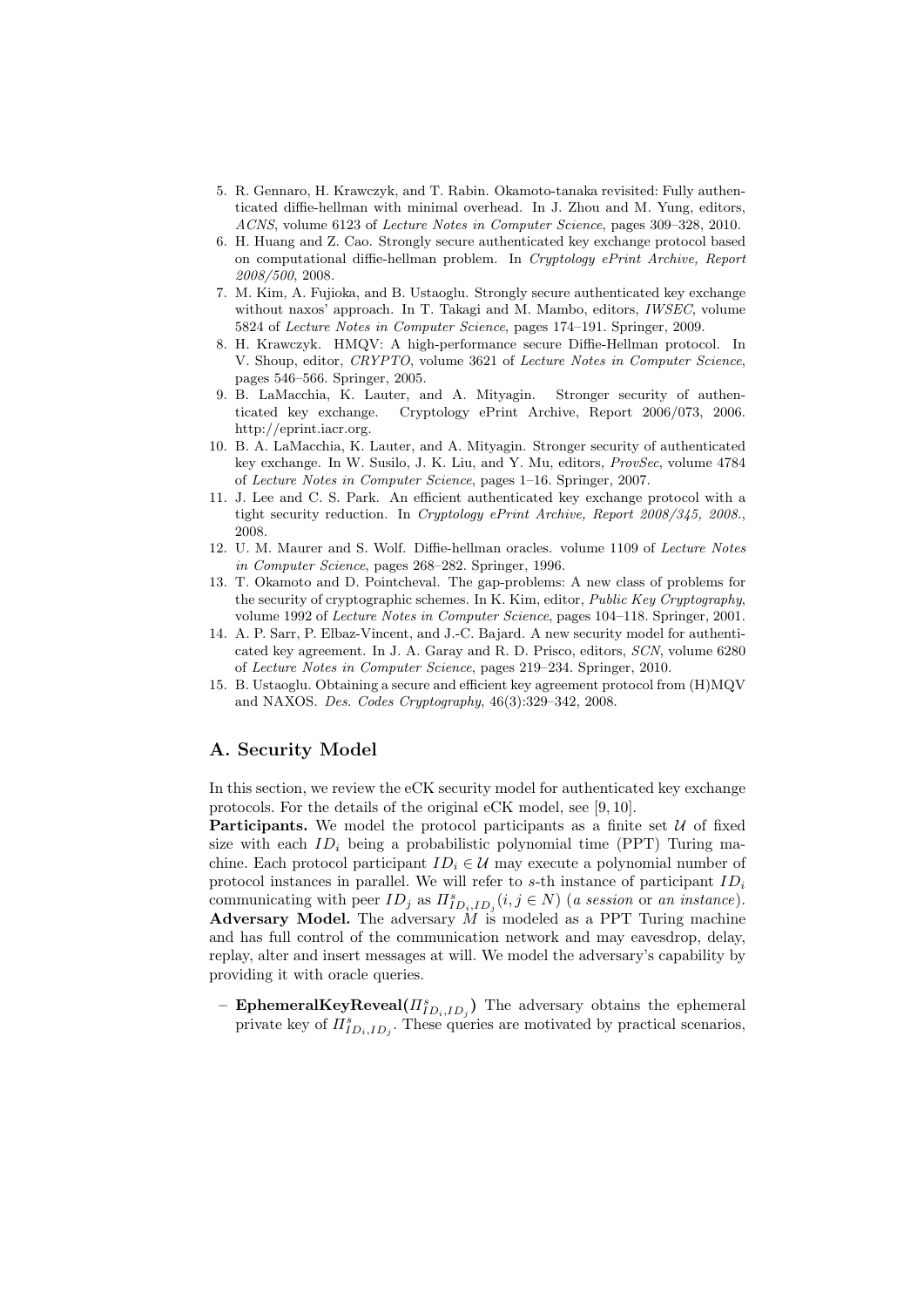- 5. R. Gennaro, H. Krawczyk, and T. Rabin. Okamoto-tanaka revisited: Fully authenticated diffie-hellman with minimal overhead. In J. Zhou and M. Yung, editors, ACNS, volume 6123 of Lecture Notes in Computer Science, pages 309–328, 2010.
- 6. H. Huang and Z. Cao. Strongly secure authenticated key exchange protocol based on computational diffie-hellman problem. In Cryptology ePrint Archive, Report 2008/500, 2008.
- 7. M. Kim, A. Fujioka, and B. Ustaoglu. Strongly secure authenticated key exchange without naxos' approach. In T. Takagi and M. Mambo, editors, IWSEC, volume 5824 of Lecture Notes in Computer Science, pages 174–191. Springer, 2009.
- 8. H. Krawczyk. HMQV: A high-performance secure Diffie-Hellman protocol. In V. Shoup, editor, CRYPTO, volume 3621 of Lecture Notes in Computer Science, pages 546–566. Springer, 2005.
- 9. B. LaMacchia, K. Lauter, and A. Mityagin. Stronger security of authenticated key exchange. Cryptology ePrint Archive, Report 2006/073, 2006. http://eprint.iacr.org.
- 10. B. A. LaMacchia, K. Lauter, and A. Mityagin. Stronger security of authenticated key exchange. In W. Susilo, J. K. Liu, and Y. Mu, editors, *ProvSec*, volume 4784 of Lecture Notes in Computer Science, pages 1–16. Springer, 2007.
- 11. J. Lee and C. S. Park. An efficient authenticated key exchange protocol with a tight security reduction. In Cryptology ePrint Archive, Report 2008/345, 2008., 2008.
- 12. U. M. Maurer and S. Wolf. Diffie-hellman oracles. volume 1109 of Lecture Notes in Computer Science, pages 268–282. Springer, 1996.
- 13. T. Okamoto and D. Pointcheval. The gap-problems: A new class of problems for the security of cryptographic schemes. In K. Kim, editor, Public Key Cryptography, volume 1992 of Lecture Notes in Computer Science, pages 104–118. Springer, 2001.
- 14. A. P. Sarr, P. Elbaz-Vincent, and J.-C. Bajard. A new security model for authenticated key agreement. In J. A. Garay and R. D. Prisco, editors, SCN, volume 6280 of Lecture Notes in Computer Science, pages 219–234. Springer, 2010.
- 15. B. Ustaoglu. Obtaining a secure and efficient key agreement protocol from (H)MQV and NAXOS. Des. Codes Cryptography, 46(3):329–342, 2008.

# A. Security Model

In this section, we review the eCK security model for authenticated key exchange protocols. For the details of the original eCK model, see [9, 10].

**Participants.** We model the protocol participants as a finite set  $\mathcal{U}$  of fixed size with each  $ID_i$  being a probabilistic polynomial time (PPT) Turing machine. Each protocol participant  $ID_i \in \mathcal{U}$  may execute a polynomial number of protocol instances in parallel. We will refer to s-th instance of participant  $ID_i$ communicating with peer  $ID_j$  as  $\Pi_{ID_i, ID_j}^s (i, j \in N)$  (a session or an instance). Adversary Model. The adversary  $\dot{M}$  is modeled as a PPT Turing machine and has full control of the communication network and may eavesdrop, delay, replay, alter and insert messages at will. We model the adversary's capability by providing it with oracle queries.

- **EphemeralKeyReveal** $(\Pi_{ID_i, ID_j}^s)$  The adversary obtains the ephemeral private key of  $\Pi_{ID_i, ID_j}^s$ . These queries are motivated by practical scenarios,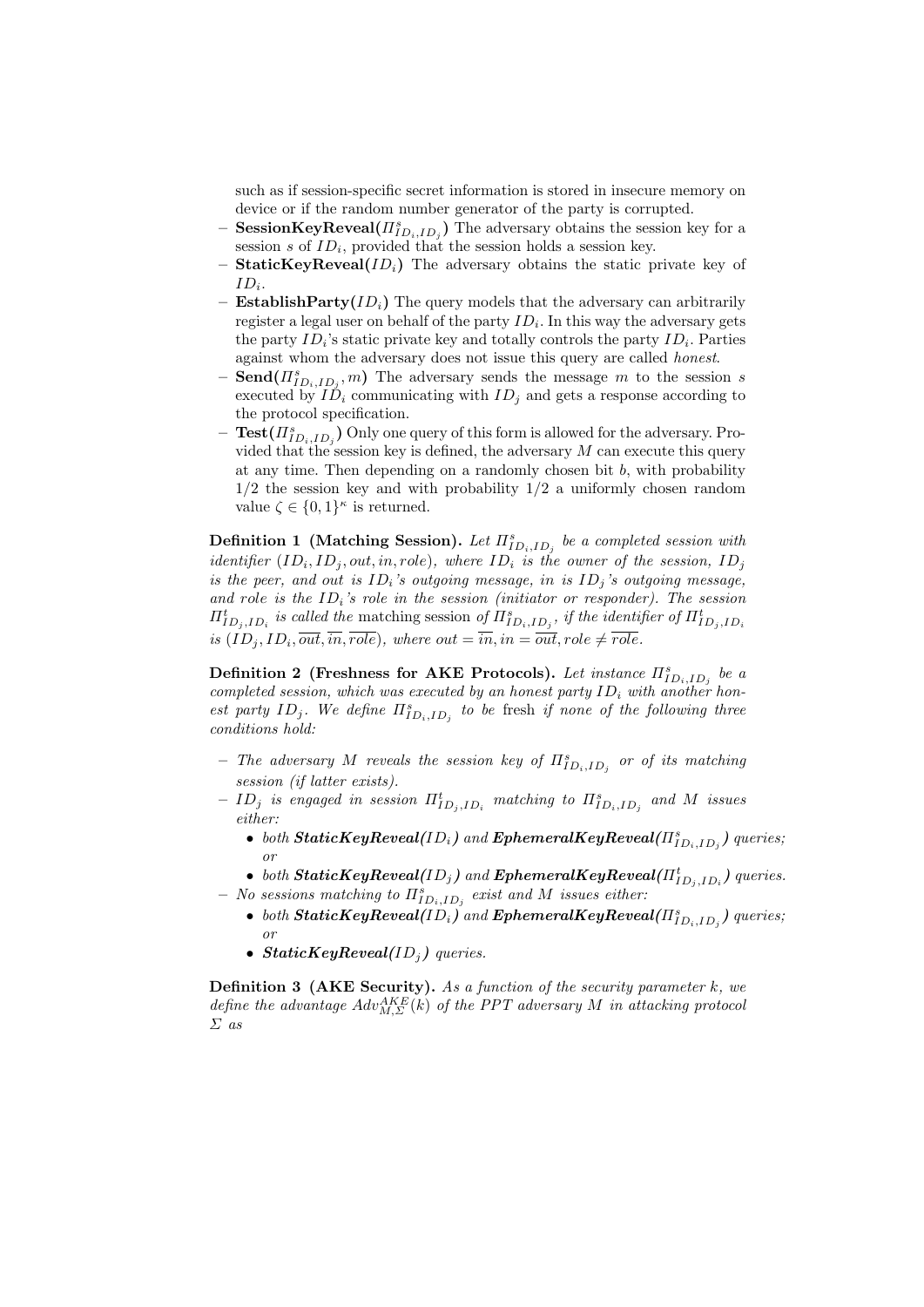such as if session-specific secret information is stored in insecure memory on device or if the random number generator of the party is corrupted.

- SessionKeyReveal $(\Pi_{ID_i,ID_j}^s)$  The adversary obtains the session key for a session s of  $ID_i$ , provided that the session holds a session key.
- **StaticKeyReveal**( $ID<sub>i</sub>$ ) The adversary obtains the static private key of  $ID_i$ .
- Establish Party  $(ID_i)$  The query models that the adversary can arbitrarily register a legal user on behalf of the party  $ID_i$ . In this way the adversary gets the party  $ID_i$ 's static private key and totally controls the party  $ID_i$ . Parties against whom the adversary does not issue this query are called honest.
- $-$  Send $(\Pi_{ID_i, ID_j}^s, m)$  The adversary sends the message m to the session s executed by  $ID_i$  communicating with  $ID_j$  and gets a response according to the protocol specification.
- $-$  Test $(\Pi_{ID_i, ID_j}^s)$  Only one query of this form is allowed for the adversary. Provided that the session key is defined, the adversary  $M$  can execute this query at any time. Then depending on a randomly chosen bit  $b$ , with probability  $1/2$  the session key and with probability  $1/2$  a uniformly chosen random value  $\zeta \in \{0,1\}^{\kappa}$  is returned.

**Definition 1** (Matching Session). Let  $\Pi_{ID_i, ID_j}^s$  be a completed session with identifier  $(ID_i, ID_j, out, in, role),$  where  $ID_i$  is the owner of the session,  $ID_j$ is the peer, and out is  $ID_i$ 's outgoing message, in is  $ID_j$ 's outgoing message, and role is the  $ID_i$ 's role in the session (initiator or responder). The session  $\Pi_{ID_j, ID_i}^t$  is called the matching session of  $\Pi_{ID_i, ID_j}^s$ , if the identifier of  $\Pi_{ID_j, ID_i}^t$ is  $(ID_j, ID_i, \overline{out}, \overline{in}, \overline{role}$ , where  $out = \overline{in}, in = \overline{out}, role \neq role$ .

Definition 2 (Freshness for AKE Protocols). Let instance  $\Pi_{ID_i, ID_j}^s$  be a completed session, which was executed by an honest party  $ID_i$  with another honest party  $ID_j$ . We define  $\Pi_{ID_i, ID_j}^s$  to be fresh if none of the following three conditions hold:

- The adversary M reveals the session key of  $\Pi_{ID_i, ID_j}^s$  or of its matching session (if latter exists).
- $ID_j$  is engaged in session  $\Pi_{ID_j, ID_i}^t$  matching to  $\Pi_{ID_i, ID_j}^s$  and  $M$  issues either:
	- both  $\textit{StaticKeyReveal}(ID_i)$  and  $\textit{ExthermalKeyReveal}(\Pi_{ID_i, ID_j}^s)$  queries; or
	- both  $\textit{StaticKeyReveal}(ID_j)$  and  $\textit{EphemeralKeyReveal}(\Pi^t_{ID_j, ID_i})$  queries.
- $-$  No sessions matching to  $\Pi_{ID_i, ID_j}^s$  exist and M issues either:
	- $\bullet \;\; both \; StaticKeyReveal(ID_{i}) \; and \; EphemeralKeyReveal( \Pi_{ID_{i},ID_{j}}^{s}) \; queries;$ or
	- StaticKeyReveal( $ID<sub>i</sub>$ ) queries.

**Definition 3 (AKE Security).** As a function of the security parameter  $k$ , we define the advantage  $Adv_{M,\Sigma}^{AKE}(k)$  of the PPT adversary M in attacking protocol Σ as